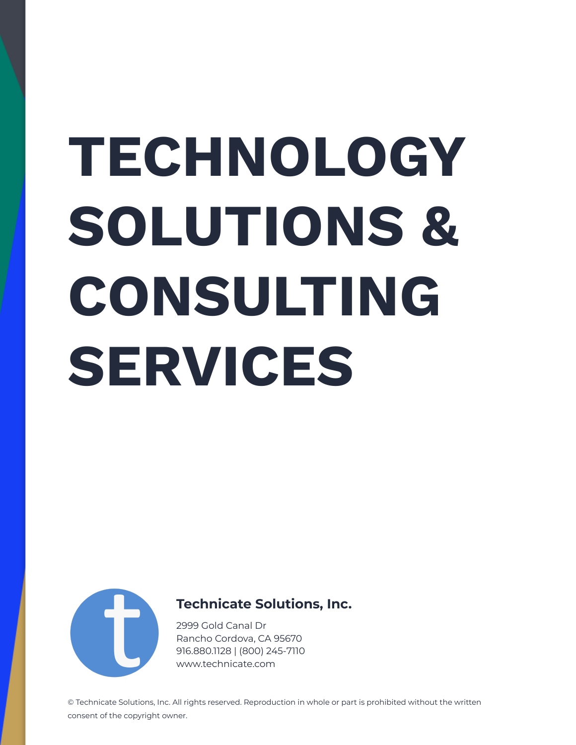# **TECHNOLOGY SOLUTIONS & CONSULTING SERVICES**



#### **Technicate Solutions, Inc.**

2999 Gold Canal Dr Rancho Cordova, CA 95670 916.880.1128 | (800) 245-7110 www.technicate.com

© Technicate Solutions, Inc. All rights reserved. Reproduction in whole or part is prohibited without the written consent of the copyright owner.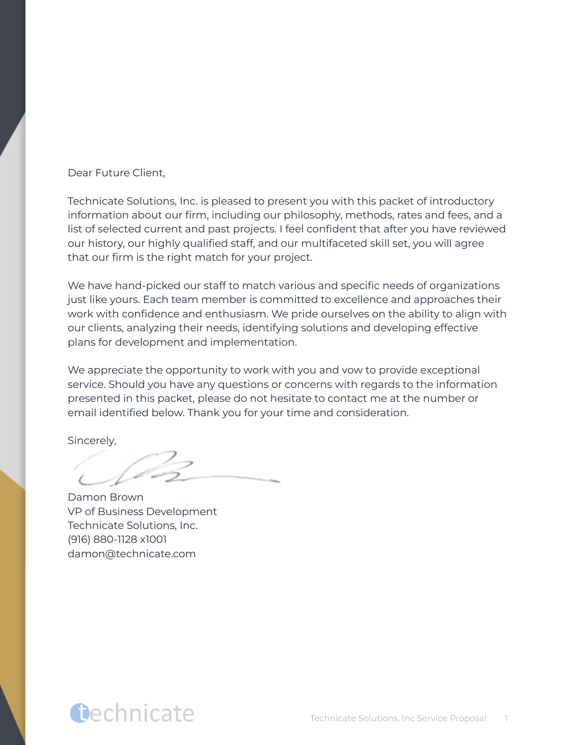#### Dear Future Client,

Technicate Solutions, Inc. is pleased to present you with this packet of introductory information about our firm, including our philosophy, methods, rates and fees, and a list of selected current and past projects. I feel confident that after you have reviewed our history, our highly qualified staff, and our multifaceted skill set, you will agree that our firm is the right match for your project.

We have hand-picked our staff to match various and specific needs of organizations just like yours. Each team member is committed to excellence and approaches their work with confidence and enthusiasm. We pride ourselves on the ability to align with our clients, analyzing their needs, identifying solutions and developing effective plans for development and implementation.

We appreciate the opportunity to work with you and vow to provide exceptional service. Should you have any questions or concerns with regards to the information presented in this packet, please do not hesitate to contact me at the number or email identified below. Thank you for your time and consideration.

Sincerely,

Damon Brown VP of Business Development Technicate Solutions, Inc. (916) 880-1128 x1001 damon@technicate.com

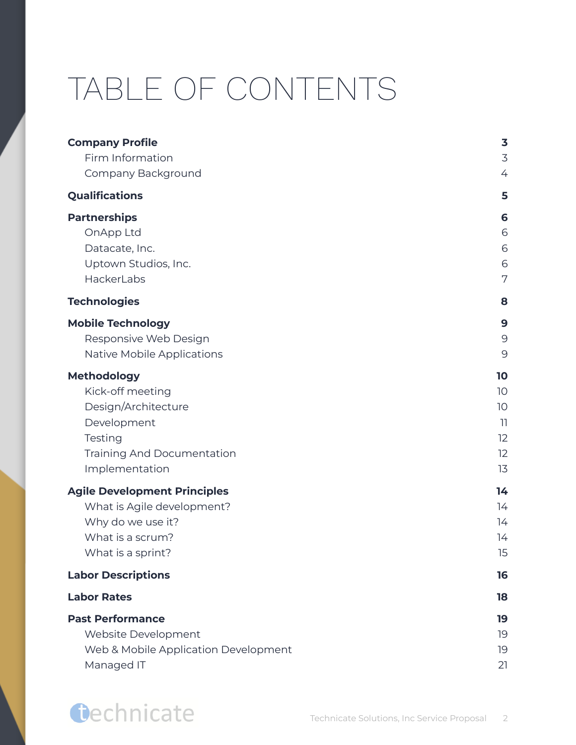## TABLE OF CONTENTS

| <b>Company Profile</b>               | $\overline{\mathbf{3}}$ |
|--------------------------------------|-------------------------|
| Firm Information                     | $\overline{3}$          |
| Company Background                   | 4                       |
| <b>Qualifications</b>                | 5                       |
| <b>Partnerships</b>                  | 6                       |
| OnApp Ltd                            | 6                       |
| Datacate, Inc.                       | 6                       |
| Uptown Studios, Inc.                 | 6                       |
| HackerLabs                           | 7                       |
| <b>Technologies</b>                  | 8                       |
| <b>Mobile Technology</b>             | $\mathbf{9}$            |
| Responsive Web Design                | 9                       |
| Native Mobile Applications           | 9                       |
| <b>Methodology</b>                   | 10                      |
| Kick-off meeting                     | 10                      |
| Design/Architecture                  | 10                      |
| Development                          | $\overline{1}$          |
| Testing                              | 12                      |
| <b>Training And Documentation</b>    | 12                      |
| Implementation                       | 13                      |
| <b>Agile Development Principles</b>  | 14                      |
| What is Agile development?           | 14                      |
| Why do we use it?                    | 14                      |
| What is a scrum?                     | 14                      |
| What is a sprint?                    | 15                      |
| <b>Labor Descriptions</b>            | 16                      |
| <b>Labor Rates</b>                   | 18                      |
| <b>Past Performance</b>              | 19                      |
| Website Development                  | 19                      |
| Web & Mobile Application Development | 19                      |
| Managed IT                           | 21                      |

### **Oechnicate**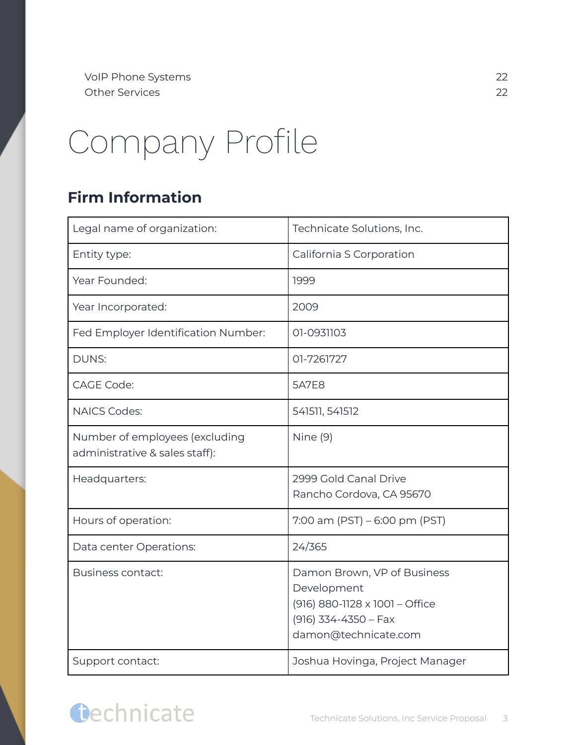## <span id="page-3-0"></span>Company Profile

#### <span id="page-3-1"></span>**Firm Information**

| Legal name of organization:                                      | Technicate Solutions, Inc.                                                                                                     |
|------------------------------------------------------------------|--------------------------------------------------------------------------------------------------------------------------------|
| Entity type:                                                     | California S Corporation                                                                                                       |
| Year Founded:                                                    | 1999                                                                                                                           |
| Year Incorporated:                                               | 2009                                                                                                                           |
| Fed Employer Identification Number:                              | 01-0931103                                                                                                                     |
| <b>DUNS:</b>                                                     | 01-7261727                                                                                                                     |
| <b>CAGE Code:</b>                                                | <b>5A7E8</b>                                                                                                                   |
| <b>NAICS Codes:</b>                                              | 541511, 541512                                                                                                                 |
| Number of employees (excluding<br>administrative & sales staff): | Nine (9)                                                                                                                       |
| Headquarters:                                                    | 2999 Gold Canal Drive<br>Rancho Cordova, CA 95670                                                                              |
| Hours of operation:                                              | $7:00$ am (PST) – 6:00 pm (PST)                                                                                                |
| Data center Operations:                                          | 24/365                                                                                                                         |
| Business contact:                                                | Damon Brown, VP of Business<br>Development<br>(916) 880-1128 x 1001 - Office<br>$(916)$ 334-4350 - Fax<br>damon@technicate.com |
| Support contact:                                                 | Joshua Hovinga, Project Manager                                                                                                |

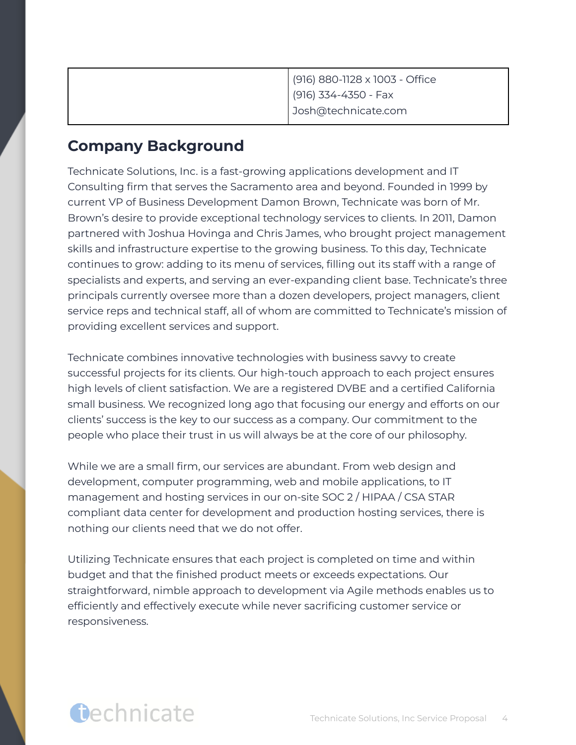| (916) 880-1128 x 1003 - Office |
|--------------------------------|
| (916) 334-4350 - Fax           |
| Josh@technicate.com            |

#### <span id="page-4-0"></span>**Company Background**

Technicate Solutions, Inc. is a fast-growing applications development and IT Consulting firm that serves the Sacramento area and beyond. Founded in 1999 by current VP of Business Development Damon Brown, Technicate was born of Mr. Brown's desire to provide exceptional technology services to clients. In 2011, Damon partnered with Joshua Hovinga and Chris James, who brought project management skills and infrastructure expertise to the growing business. To this day, Technicate continues to grow: adding to its menu of services, filling out its staff with a range of specialists and experts, and serving an ever-expanding client base. Technicate's three principals currently oversee more than a dozen developers, project managers, client service reps and technical staff, all of whom are committed to Technicate's mission of providing excellent services and support.

Technicate combines innovative technologies with business savvy to create successful projects for its clients. Our high-touch approach to each project ensures high levels of client satisfaction. We are a registered DVBE and a certified California small business. We recognized long ago that focusing our energy and efforts on our clients' success is the key to our success as a company. Our commitment to the people who place their trust in us will always be at the core of our philosophy.

While we are a small firm, our services are abundant. From web design and development, computer programming, web and mobile applications, to IT management and hosting services in our on-site SOC 2 / HIPAA / CSA STAR compliant data center for development and production hosting services, there is nothing our clients need that we do not offer.

Utilizing Technicate ensures that each project is completed on time and within budget and that the finished product meets or exceeds expectations. Our straightforward, nimble approach to development via Agile methods enables us to efficiently and effectively execute while never sacrificing customer service or responsiveness.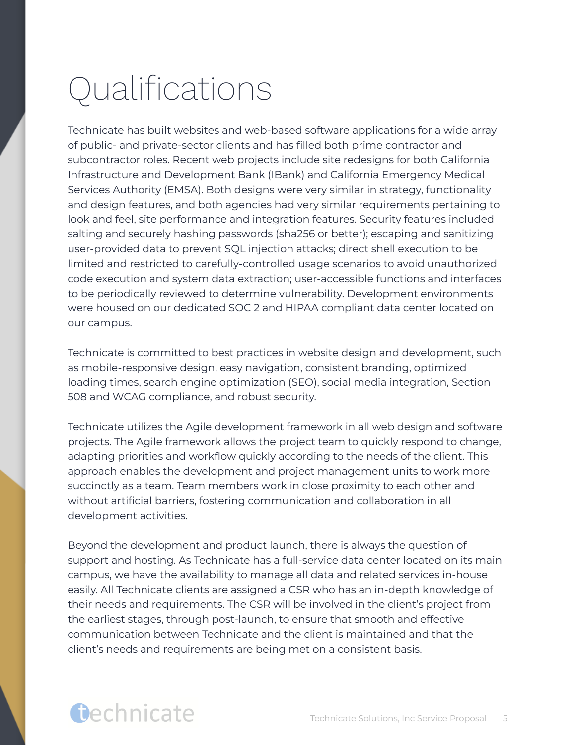## <span id="page-5-0"></span>Qualifications

Technicate has built websites and web-based software applications for a wide array of public- and private-sector clients and has filled both prime contractor and subcontractor roles. Recent web projects include site redesigns for both California Infrastructure and Development Bank (IBank) and California Emergency Medical Services Authority (EMSA). Both designs were very similar in strategy, functionality and design features, and both agencies had very similar requirements pertaining to look and feel, site performance and integration features. Security features included salting and securely hashing passwords (sha256 or better); escaping and sanitizing user-provided data to prevent SQL injection attacks; direct shell execution to be limited and restricted to carefully-controlled usage scenarios to avoid unauthorized code execution and system data extraction; user-accessible functions and interfaces to be periodically reviewed to determine vulnerability. Development environments were housed on our dedicated SOC 2 and HIPAA compliant data center located on our campus.

Technicate is committed to best practices in website design and development, such as mobile-responsive design, easy navigation, consistent branding, optimized loading times, search engine optimization (SEO), social media integration, Section 508 and WCAG compliance, and robust security.

Technicate utilizes the Agile development framework in all web design and software projects. The Agile framework allows the project team to quickly respond to change, adapting priorities and workflow quickly according to the needs of the client. This approach enables the development and project management units to work more succinctly as a team. Team members work in close proximity to each other and without artificial barriers, fostering communication and collaboration in all development activities.

Beyond the development and product launch, there is always the question of support and hosting. As Technicate has a full-service data center located on its main campus, we have the availability to manage all data and related services in-house easily. All Technicate clients are assigned a CSR who has an in-depth knowledge of their needs and requirements. The CSR will be involved in the client's project from the earliest stages, through post-launch, to ensure that smooth and effective communication between Technicate and the client is maintained and that the client's needs and requirements are being met on a consistent basis.

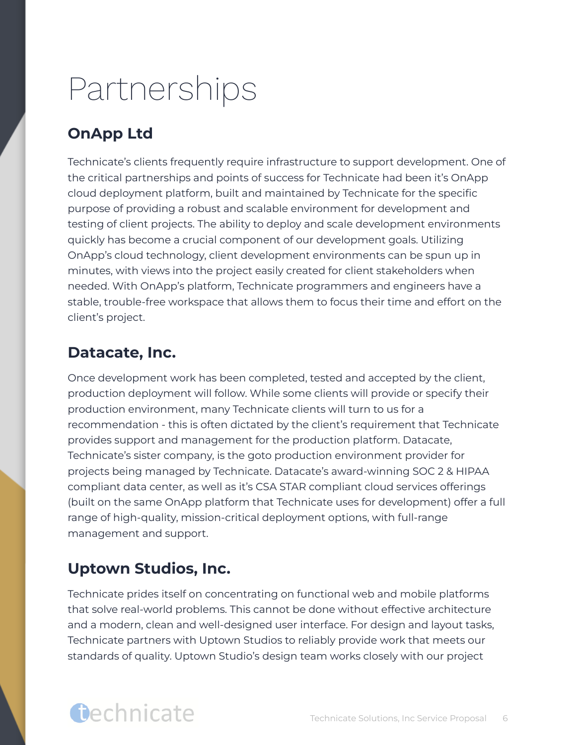## <span id="page-6-0"></span>Partnerships

#### <span id="page-6-1"></span>**OnApp Ltd**

Technicate's clients frequently require infrastructure to support development. One of the critical partnerships and points of success for Technicate had been it's OnApp cloud deployment platform, built and maintained by Technicate for the specific purpose of providing a robust and scalable environment for development and testing of client projects. The ability to deploy and scale development environments quickly has become a crucial component of our development goals. Utilizing OnApp's cloud technology, client development environments can be spun up in minutes, with views into the project easily created for client stakeholders when needed. With OnApp's platform, Technicate programmers and engineers have a stable, trouble-free workspace that allows them to focus their time and effort on the client's project.

#### <span id="page-6-2"></span>**Datacate, Inc.**

Once development work has been completed, tested and accepted by the client, production deployment will follow. While some clients will provide or specify their production environment, many Technicate clients will turn to us for a recommendation - this is often dictated by the client's requirement that Technicate provides support and management for the production platform. Datacate, Technicate's sister company, is the goto production environment provider for projects being managed by Technicate. Datacate's award-winning SOC 2 & HIPAA compliant data center, as well as it's CSA STAR compliant cloud services offerings (built on the same OnApp platform that Technicate uses for development) offer a full range of high-quality, mission-critical deployment options, with full-range management and support.

#### <span id="page-6-3"></span>**Uptown Studios, Inc.**

Technicate prides itself on concentrating on functional web and mobile platforms that solve real-world problems. This cannot be done without effective architecture and a modern, clean and well-designed user interface. For design and layout tasks, Technicate partners with Uptown Studios to reliably provide work that meets our standards of quality. Uptown Studio's design team works closely with our project

### Gechnicate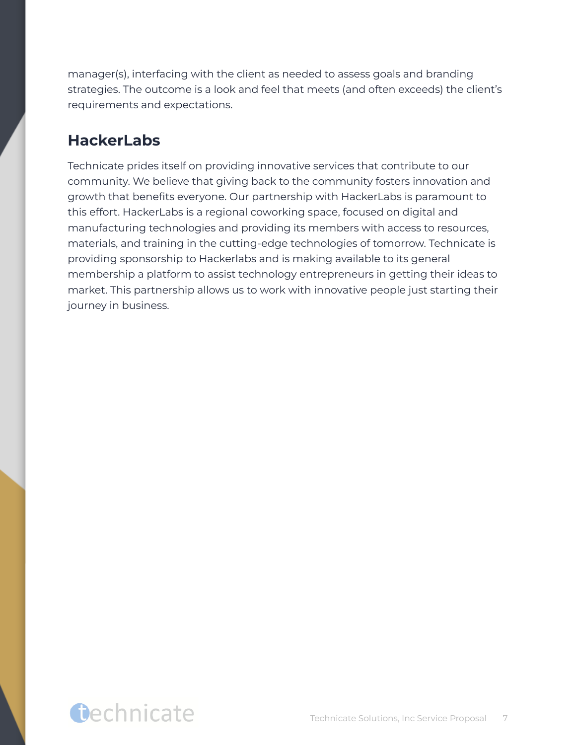manager(s), interfacing with the client as needed to assess goals and branding strategies. The outcome is a look and feel that meets (and often exceeds) the client's requirements and expectations.

#### <span id="page-7-0"></span>**HackerLabs**

Technicate prides itself on providing innovative services that contribute to our community. We believe that giving back to the community fosters innovation and growth that benefits everyone. Our partnership with HackerLabs is paramount to this effort. HackerLabs is a regional coworking space, focused on digital and manufacturing technologies and providing its members with access to resources, materials, and training in the cutting-edge technologies of tomorrow. Technicate is providing sponsorship to Hackerlabs and is making available to its general membership a platform to assist technology entrepreneurs in getting their ideas to market. This partnership allows us to work with innovative people just starting their journey in business.

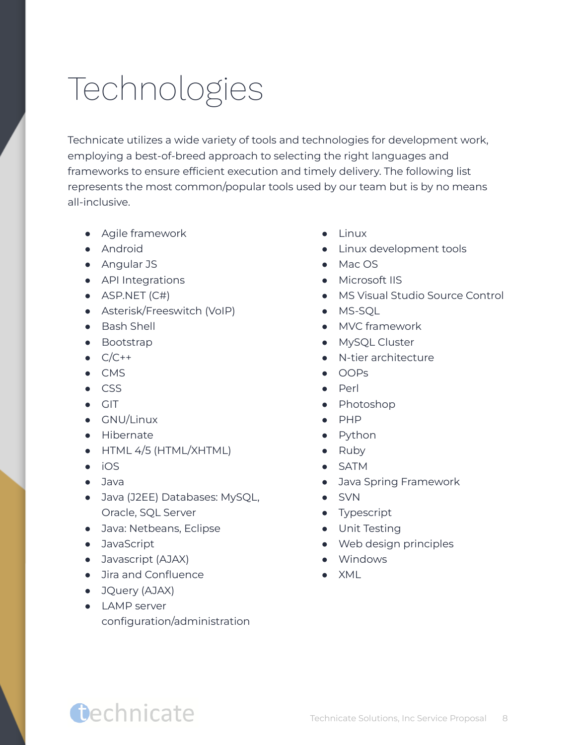## <span id="page-8-0"></span>Technologies

Technicate utilizes a wide variety of tools and technologies for development work, employing a best-of-breed approach to selecting the right languages and frameworks to ensure efficient execution and timely delivery. The following list represents the most common/popular tools used by our team but is by no means all-inclusive.

- Agile framework
- Android
- Angular JS
- API Integrations
- $\bullet$  ASP.NET (C#)
- Asterisk/Freeswitch (VoIP)
- Bash Shell
- Bootstrap
- $\bullet$   $C/C++$
- CMS
- CSS
- GIT
- GNU/Linux
- Hibernate
- HTML 4/5 (HTML/XHTML)
- iOS
- Java
- Java (J2EE) Databases: MySQL, Oracle, SQL Server
- Java: Netbeans, Eclipse
- JavaScript
- Javascript (AJAX)
- Jira and Confluence
- JQuery (AJAX)
- LAMP server configuration/administration
- Linux
- Linux development tools
- Mac OS
- Microsoft IIS
- MS Visual Studio Source Control
- MS-SOL
- MVC framework
- MySQL Cluster
- N-tier architecture
- OOPs
- Perl
- Photoshop
- PHP
- Python
- Ruby
- SATM
- Java Spring Framework
- SVN
- Typescript
- Unit Testing
- Web design principles
- Windows
- $\bullet$  XMI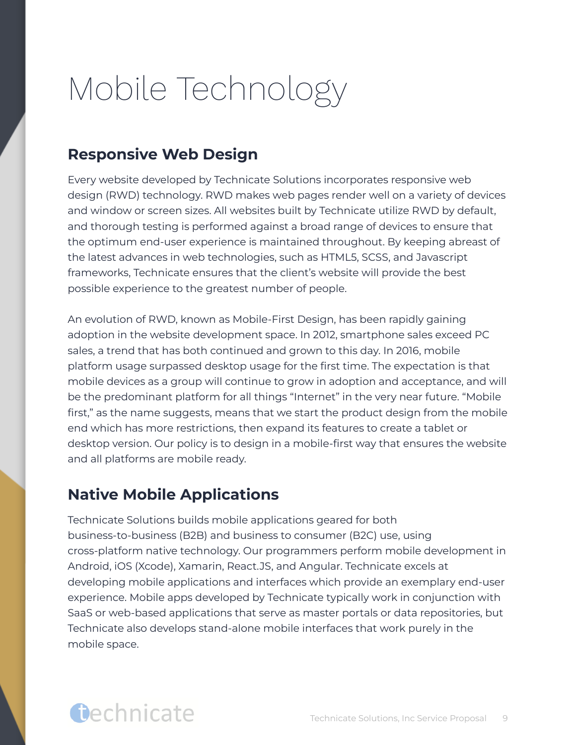## <span id="page-9-0"></span>Mobile Technology

#### <span id="page-9-1"></span>**Responsive Web Design**

Every website developed by Technicate Solutions incorporates responsive web design (RWD) technology. RWD makes web pages render well on a variety of devices and window or screen sizes. All websites built by Technicate utilize RWD by default, and thorough testing is performed against a broad range of devices to ensure that the optimum end-user experience is maintained throughout. By keeping abreast of the latest advances in web technologies, such as HTML5, SCSS, and Javascript frameworks, Technicate ensures that the client's website will provide the best possible experience to the greatest number of people.

An evolution of RWD, known as Mobile-First Design, has been rapidly gaining adoption in the website development space. In 2012, smartphone sales exceed PC sales, a trend that has both continued and grown to this day. In 2016, mobile platform usage surpassed desktop usage for the first time. The expectation is that mobile devices as a group will continue to grow in adoption and acceptance, and will be the predominant platform for all things "Internet" in the very near future. "Mobile first," as the name suggests, means that we start the product design from the mobile end which has more restrictions, then expand its features to create a tablet or desktop version. Our policy is to design in a mobile-first way that ensures the website and all platforms are mobile ready.

#### <span id="page-9-2"></span>**Native Mobile Applications**

Technicate Solutions builds mobile applications geared for both business-to-business (B2B) and business to consumer (B2C) use, using cross-platform native technology. Our programmers perform mobile development in Android, iOS (Xcode), Xamarin, React.JS, and Angular. Technicate excels at developing mobile applications and interfaces which provide an exemplary end-user experience. Mobile apps developed by Technicate typically work in conjunction with SaaS or web-based applications that serve as master portals or data repositories, but Technicate also develops stand-alone mobile interfaces that work purely in the mobile space.

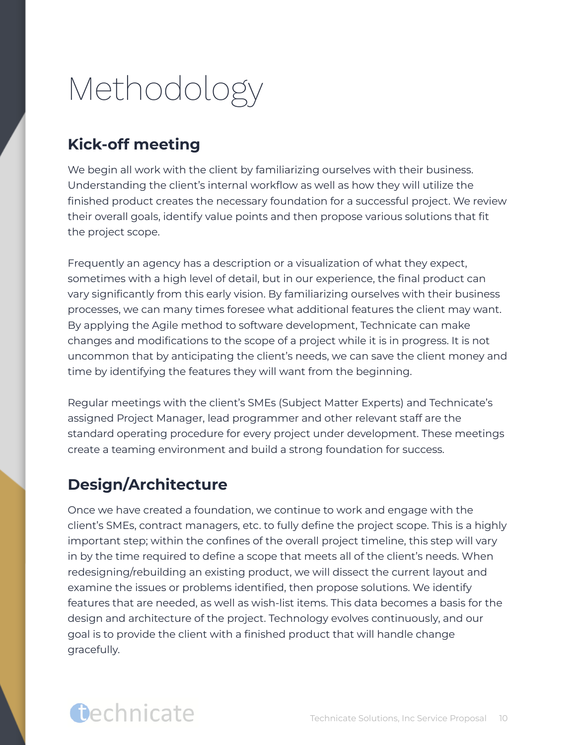## <span id="page-10-0"></span>Methodology

#### <span id="page-10-1"></span>**Kick-off meeting**

We begin all work with the client by familiarizing ourselves with their business. Understanding the client's internal workflow as well as how they will utilize the finished product creates the necessary foundation for a successful project. We review their overall goals, identify value points and then propose various solutions that fit the project scope.

Frequently an agency has a description or a visualization of what they expect, sometimes with a high level of detail, but in our experience, the final product can vary significantly from this early vision. By familiarizing ourselves with their business processes, we can many times foresee what additional features the client may want. By applying the Agile method to software development, Technicate can make changes and modifications to the scope of a project while it is in progress. It is not uncommon that by anticipating the client's needs, we can save the client money and time by identifying the features they will want from the beginning.

Regular meetings with the client's SMEs (Subject Matter Experts) and Technicate's assigned Project Manager, lead programmer and other relevant staff are the standard operating procedure for every project under development. These meetings create a teaming environment and build a strong foundation for success.

#### <span id="page-10-2"></span>**Design/Architecture**

Once we have created a foundation, we continue to work and engage with the client's SMEs, contract managers, etc. to fully define the project scope. This is a highly important step; within the confines of the overall project timeline, this step will vary in by the time required to define a scope that meets all of the client's needs. When redesigning/rebuilding an existing product, we will dissect the current layout and examine the issues or problems identified, then propose solutions. We identify features that are needed, as well as wish-list items. This data becomes a basis for the design and architecture of the project. Technology evolves continuously, and our goal is to provide the client with a finished product that will handle change gracefully.

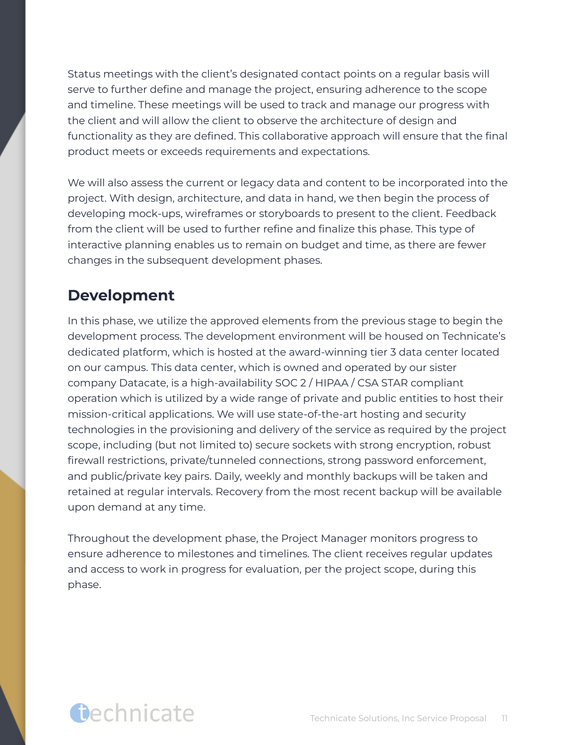Status meetings with the client's designated contact points on a regular basis will serve to further define and manage the project, ensuring adherence to the scope and timeline. These meetings will be used to track and manage our progress with the client and will allow the client to observe the architecture of design and functionality as they are defined. This collaborative approach will ensure that the final product meets or exceeds requirements and expectations.

We will also assess the current or legacy data and content to be incorporated into the project. With design, architecture, and data in hand, we then begin the process of developing mock-ups, wireframes or storyboards to present to the client. Feedback from the client will be used to further refine and finalize this phase. This type of interactive planning enables us to remain on budget and time, as there are fewer changes in the subsequent development phases.

#### <span id="page-11-0"></span>**Development**

In this phase, we utilize the approved elements from the previous stage to begin the development process. The development environment will be housed on Technicate's dedicated platform, which is hosted at the award-winning tier 3 data center located on our campus. This data center, which is owned and operated by our sister company Datacate, is a high-availability SOC 2 / HIPAA / CSA STAR compliant operation which is utilized by a wide range of private and public entities to host their mission-critical applications. We will use state-of-the-art hosting and security technologies in the provisioning and delivery of the service as required by the project scope, including (but not limited to) secure sockets with strong encryption, robust firewall restrictions, private/tunneled connections, strong password enforcement, and public/private key pairs. Daily, weekly and monthly backups will be taken and retained at regular intervals. Recovery from the most recent backup will be available upon demand at any time.

Throughout the development phase, the Project Manager monitors progress to ensure adherence to milestones and timelines. The client receives regular updates and access to work in progress for evaluation, per the project scope, during this phase.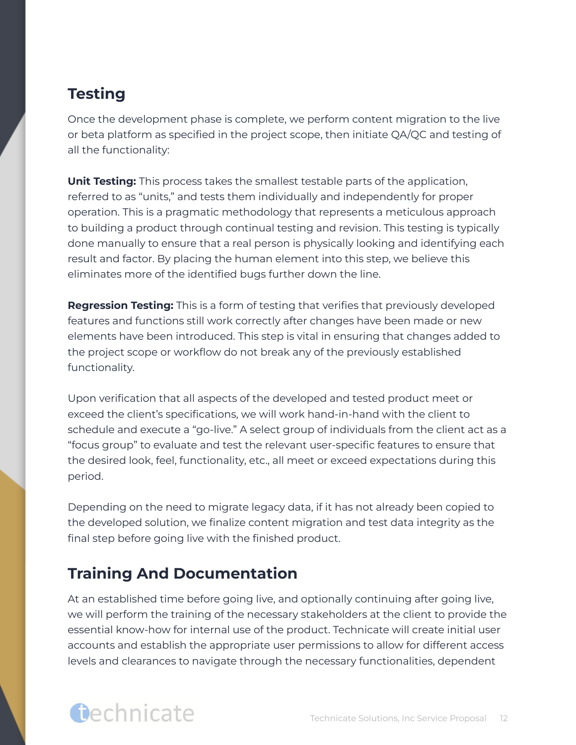#### <span id="page-12-0"></span>**Testing**

Once the development phase is complete, we perform content migration to the live or beta platform as specified in the project scope, then initiate QA/QC and testing of all the functionality:

**Unit Testing:** This process takes the smallest testable parts of the application, referred to as "units," and tests them individually and independently for proper operation. This is a pragmatic methodology that represents a meticulous approach to building a product through continual testing and revision. This testing is typically done manually to ensure that a real person is physically looking and identifying each result and factor. By placing the human element into this step, we believe this eliminates more of the identified bugs further down the line.

**Regression Testing:** This is a form of testing that verifies that previously developed features and functions still work correctly after changes have been made or new elements have been introduced. This step is vital in ensuring that changes added to the project scope or workflow do not break any of the previously established functionality.

Upon verification that all aspects of the developed and tested product meet or exceed the client's specifications, we will work hand-in-hand with the client to schedule and execute a "go-live." A select group of individuals from the client act as a "focus group" to evaluate and test the relevant user-specific features to ensure that the desired look, feel, functionality, etc., all meet or exceed expectations during this period.

Depending on the need to migrate legacy data, if it has not already been copied to the developed solution, we finalize content migration and test data integrity as the final step before going live with the finished product.

#### <span id="page-12-1"></span>**Training And Documentation**

At an established time before going live, and optionally continuing after going live, we will perform the training of the necessary stakeholders at the client to provide the essential know-how for internal use of the product. Technicate will create initial user accounts and establish the appropriate user permissions to allow for different access levels and clearances to navigate through the necessary functionalities, dependent

### Gechnicate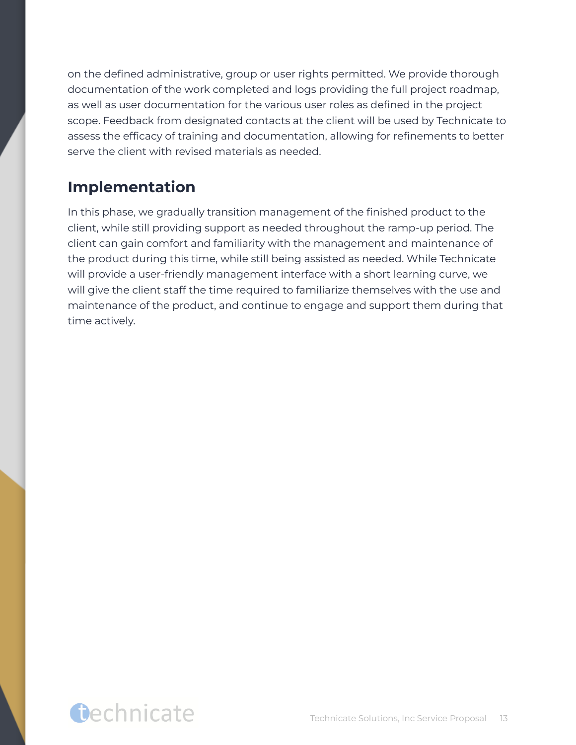on the defined administrative, group or user rights permitted. We provide thorough documentation of the work completed and logs providing the full project roadmap, as well as user documentation for the various user roles as defined in the project scope. Feedback from designated contacts at the client will be used by Technicate to assess the efficacy of training and documentation, allowing for refinements to better serve the client with revised materials as needed.

#### <span id="page-13-0"></span>**Implementation**

In this phase, we gradually transition management of the finished product to the client, while still providing support as needed throughout the ramp-up period. The client can gain comfort and familiarity with the management and maintenance of the product during this time, while still being assisted as needed. While Technicate will provide a user-friendly management interface with a short learning curve, we will give the client staff the time required to familiarize themselves with the use and maintenance of the product, and continue to engage and support them during that time actively.

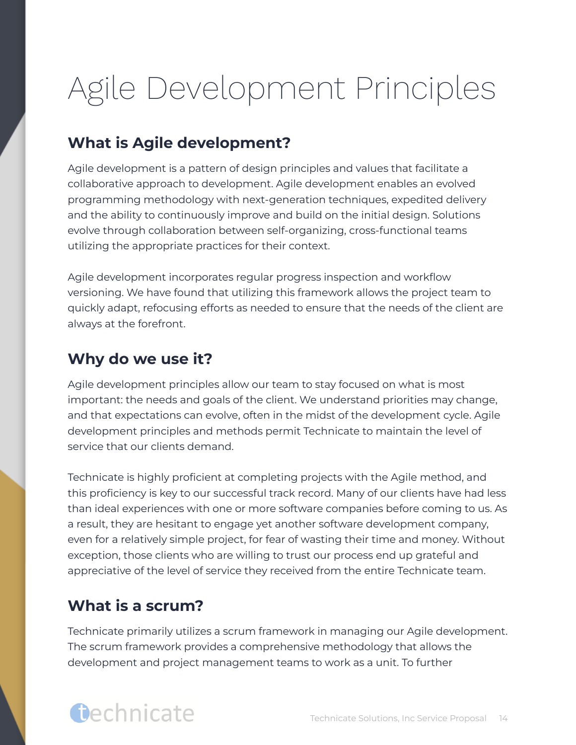## <span id="page-14-0"></span>Agile Development Principles

#### <span id="page-14-1"></span>**What is Agile development?**

Agile development is a pattern of design principles and values that facilitate a collaborative approach to development. Agile development enables an evolved programming methodology with next-generation techniques, expedited delivery and the ability to continuously improve and build on the initial design. Solutions evolve through collaboration between self-organizing, cross-functional teams utilizing the appropriate practices for their context.

Agile development incorporates regular progress inspection and workflow versioning. We have found that utilizing this framework allows the project team to quickly adapt, refocusing efforts as needed to ensure that the needs of the client are always at the forefront.

#### <span id="page-14-2"></span>**Why do we use it?**

Agile development principles allow our team to stay focused on what is most important: the needs and goals of the client. We understand priorities may change, and that expectations can evolve, often in the midst of the development cycle. Agile development principles and methods permit Technicate to maintain the level of service that our clients demand.

Technicate is highly proficient at completing projects with the Agile method, and this proficiency is key to our successful track record. Many of our clients have had less than ideal experiences with one or more software companies before coming to us. As a result, they are hesitant to engage yet another software development company, even for a relatively simple project, for fear of wasting their time and money. Without exception, those clients who are willing to trust our process end up grateful and appreciative of the level of service they received from the entire Technicate team.

#### <span id="page-14-3"></span>**What is a scrum?**

Technicate primarily utilizes a scrum framework in managing our Agile development. The scrum framework provides a comprehensive methodology that allows the development and project management teams to work as a unit. To further

### Gechnicate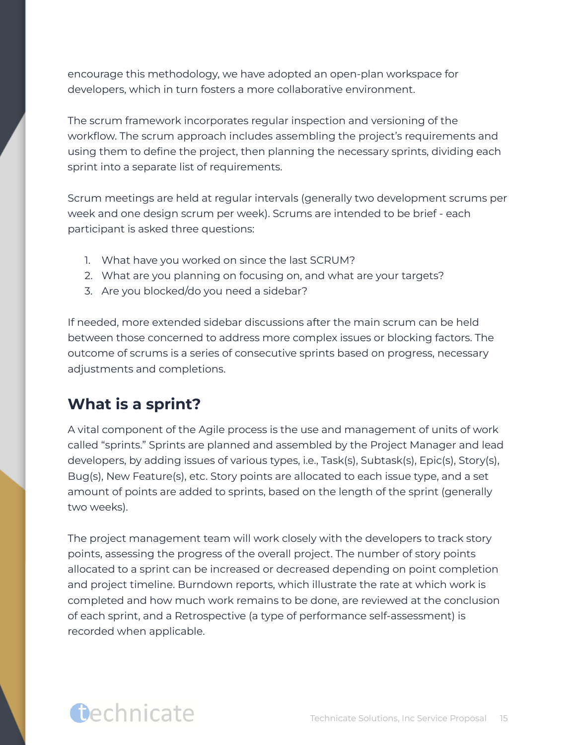encourage this methodology, we have adopted an open-plan workspace for developers, which in turn fosters a more collaborative environment.

The scrum framework incorporates regular inspection and versioning of the workflow. The scrum approach includes assembling the project's requirements and using them to define the project, then planning the necessary sprints, dividing each sprint into a separate list of requirements.

Scrum meetings are held at regular intervals (generally two development scrums per week and one design scrum per week). Scrums are intended to be brief - each participant is asked three questions:

- 1. What have you worked on since the last SCRUM?
- 2. What are you planning on focusing on, and what are your targets?
- 3. Are you blocked/do you need a sidebar?

If needed, more extended sidebar discussions after the main scrum can be held between those concerned to address more complex issues or blocking factors. The outcome of scrums is a series of consecutive sprints based on progress, necessary adjustments and completions.

#### <span id="page-15-0"></span>**What is a sprint?**

A vital component of the Agile process is the use and management of units of work called "sprints." Sprints are planned and assembled by the Project Manager and lead developers, by adding issues of various types, i.e., Task(s), Subtask(s), Epic(s), Story(s), Bug(s), New Feature(s), etc. Story points are allocated to each issue type, and a set amount of points are added to sprints, based on the length of the sprint (generally two weeks).

The project management team will work closely with the developers to track story points, assessing the progress of the overall project. The number of story points allocated to a sprint can be increased or decreased depending on point completion and project timeline. Burndown reports, which illustrate the rate at which work is completed and how much work remains to be done, are reviewed at the conclusion of each sprint, and a Retrospective (a type of performance self-assessment) is recorded when applicable.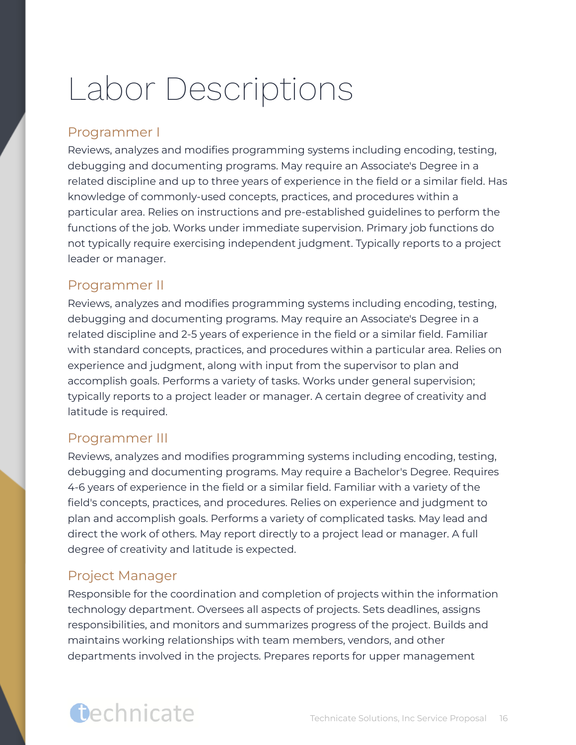## <span id="page-16-0"></span>Labor Descriptions

#### Programmer I

Reviews, analyzes and modifies programming systems including encoding, testing, debugging and documenting programs. May require an Associate's Degree in a related discipline and up to three years of experience in the field or a similar field. Has knowledge of commonly-used concepts, practices, and procedures within a particular area. Relies on instructions and pre-established guidelines to perform the functions of the job. Works under immediate supervision. Primary job functions do not typically require exercising independent judgment. Typically reports to a project leader or manager.

#### Programmer II

Reviews, analyzes and modifies programming systems including encoding, testing, debugging and documenting programs. May require an Associate's Degree in a related discipline and 2-5 years of experience in the field or a similar field. Familiar with standard concepts, practices, and procedures within a particular area. Relies on experience and judgment, along with input from the supervisor to plan and accomplish goals. Performs a variety of tasks. Works under general supervision; typically reports to a project leader or manager. A certain degree of creativity and latitude is required.

#### Programmer III

Reviews, analyzes and modifies programming systems including encoding, testing, debugging and documenting programs. May require a Bachelor's Degree. Requires 4-6 years of experience in the field or a similar field. Familiar with a variety of the field's concepts, practices, and procedures. Relies on experience and judgment to plan and accomplish goals. Performs a variety of complicated tasks. May lead and direct the work of others. May report directly to a project lead or manager. A full degree of creativity and latitude is expected.

#### Project Manager

Responsible for the coordination and completion of projects within the information technology department. Oversees all aspects of projects. Sets deadlines, assigns responsibilities, and monitors and summarizes progress of the project. Builds and maintains working relationships with team members, vendors, and other departments involved in the projects. Prepares reports for upper management

## Gechnicate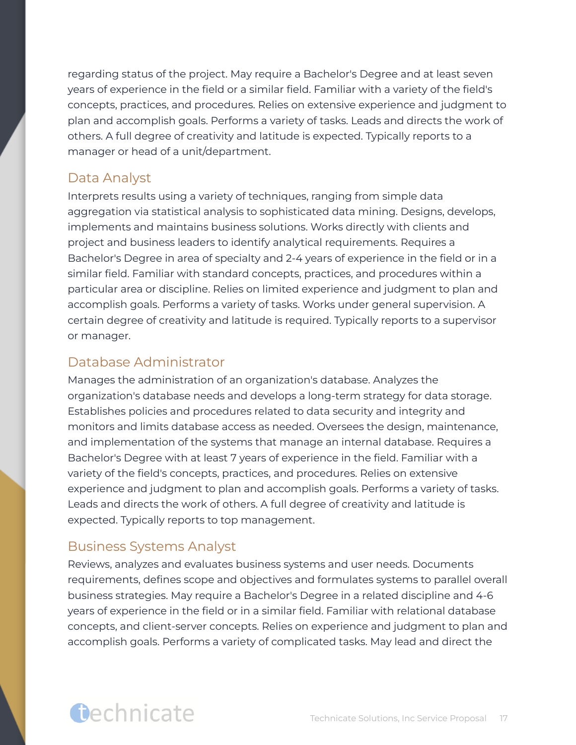regarding status of the project. May require a Bachelor's Degree and at least seven years of experience in the field or a similar field. Familiar with a variety of the field's concepts, practices, and procedures. Relies on extensive experience and judgment to plan and accomplish goals. Performs a variety of tasks. Leads and directs the work of others. A full degree of creativity and latitude is expected. Typically reports to a manager or head of a unit/department.

#### Data Analyst

Interprets results using a variety of techniques, ranging from simple data aggregation via statistical analysis to sophisticated data mining. Designs, develops, implements and maintains business solutions. Works directly with clients and project and business leaders to identify analytical requirements. Requires a Bachelor's Degree in area of specialty and 2-4 years of experience in the field or in a similar field. Familiar with standard concepts, practices, and procedures within a particular area or discipline. Relies on limited experience and judgment to plan and accomplish goals. Performs a variety of tasks. Works under general supervision. A certain degree of creativity and latitude is required. Typically reports to a supervisor or manager.

#### Database Administrator

Manages the administration of an organization's database. Analyzes the organization's database needs and develops a long-term strategy for data storage. Establishes policies and procedures related to data security and integrity and monitors and limits database access as needed. Oversees the design, maintenance, and implementation of the systems that manage an internal database. Requires a Bachelor's Degree with at least 7 years of experience in the field. Familiar with a variety of the field's concepts, practices, and procedures. Relies on extensive experience and judgment to plan and accomplish goals. Performs a variety of tasks. Leads and directs the work of others. A full degree of creativity and latitude is expected. Typically reports to top management.

#### Business Systems Analyst

Reviews, analyzes and evaluates business systems and user needs. Documents requirements, defines scope and objectives and formulates systems to parallel overall business strategies. May require a Bachelor's Degree in a related discipline and 4-6 years of experience in the field or in a similar field. Familiar with relational database concepts, and client-server concepts. Relies on experience and judgment to plan and accomplish goals. Performs a variety of complicated tasks. May lead and direct the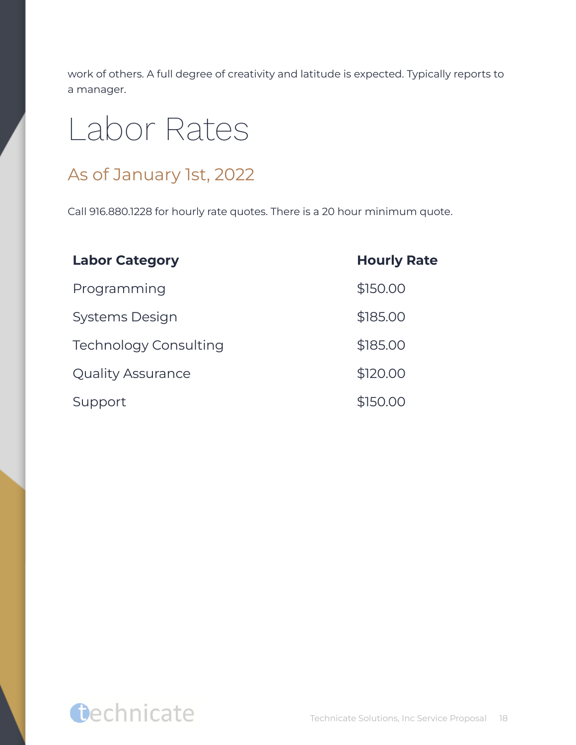work of others. A full degree of creativity and latitude is expected. Typically reports to a manager.

## <span id="page-18-0"></span>Labor Rates

#### As of January 1st, 2022

Call 916.880.1228 for hourly rate quotes. There is a 20 hour minimum quote.

| <b>Labor Category</b>        | <b>Hourly Rate</b> |
|------------------------------|--------------------|
| Programming                  | \$150.00           |
| Systems Design               | \$185.00           |
| <b>Technology Consulting</b> | \$185.00           |
| <b>Quality Assurance</b>     | \$120.00           |
| Support                      | \$150.00           |

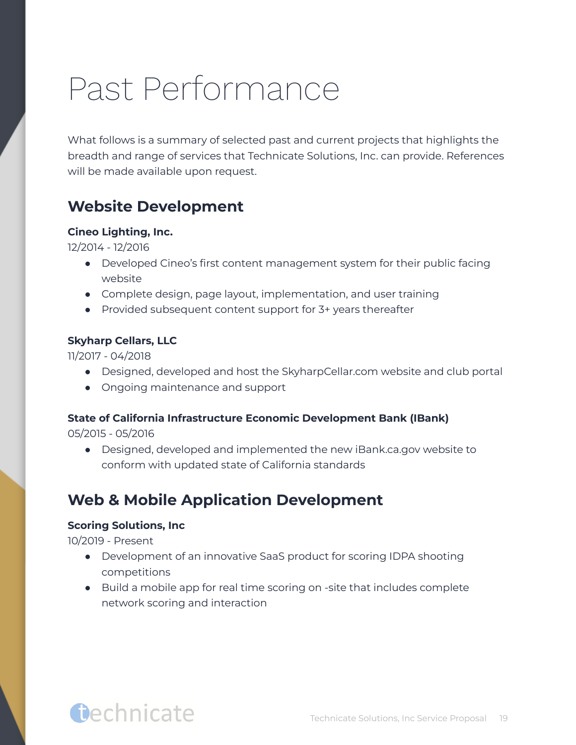## <span id="page-19-0"></span>Past Performance

What follows is a summary of selected past and current projects that highlights the breadth and range of services that Technicate Solutions, Inc. can provide. References will be made available upon request.

#### <span id="page-19-1"></span>**Website Development**

#### **Cineo Lighting, Inc.**

12/2014 - 12/2016

- Developed Cineo's first content management system for their public facing website
- Complete design, page layout, implementation, and user training
- Provided subsequent content support for 3+ years thereafter

#### **Skyharp Cellars, LLC**

11/2017 - 04/2018

- Designed, developed and host the SkyharpCellar.com website and club portal
- Ongoing maintenance and support

#### **State of California Infrastructure Economic Development Bank (IBank)**

05/2015 - 05/2016

● Designed, developed and implemented the new iBank.ca.gov website to conform with updated state of California standards

#### <span id="page-19-2"></span>**Web & Mobile Application Development**

#### **Scoring Solutions, Inc**

10/2019 - Present

- Development of an innovative SaaS product for scoring IDPA shooting competitions
- Build a mobile app for real time scoring on -site that includes complete network scoring and interaction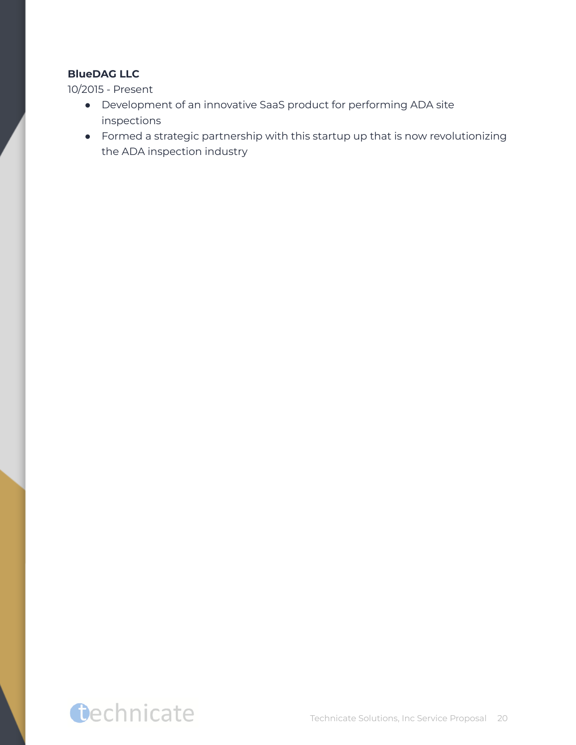#### **BlueDAG LLC**

10/2015 - Present

- Development of an innovative SaaS product for performing ADA site inspections
- Formed a strategic partnership with this startup up that is now revolutionizing the ADA inspection industry

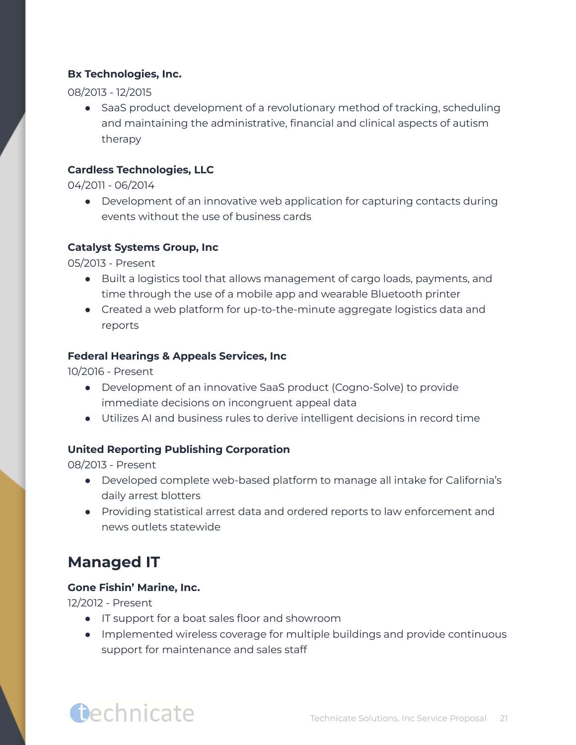#### **Bx Technologies, Inc.**

08/2013 - 12/2015

• SaaS product development of a revolutionary method of tracking, scheduling and maintaining the administrative, financial and clinical aspects of autism therapy

#### **Cardless Technologies, LLC**

04/2011 - 06/2014

● Development of an innovative web application for capturing contacts during events without the use of business cards

#### **Catalyst Systems Group, Inc**

05/2013 - Present

- Built a logistics tool that allows management of cargo loads, payments, and time through the use of a mobile app and wearable Bluetooth printer
- Created a web platform for up-to-the-minute aggregate logistics data and reports

#### **Federal Hearings & Appeals Services, Inc**

10/2016 - Present

- Development of an innovative SaaS product (Cogno-Solve) to provide immediate decisions on incongruent appeal data
- Utilizes AI and business rules to derive intelligent decisions in record time

#### **United Reporting Publishing Corporation**

08/2013 - Present

- Developed complete web-based platform to manage all intake for California's daily arrest blotters
- Providing statistical arrest data and ordered reports to law enforcement and news outlets statewide

#### <span id="page-21-0"></span>**Managed IT**

#### **Gone Fishin' Marine, Inc.**

**Dechnicate** 

12/2012 - Present

- IT support for a boat sales floor and showroom
- Implemented wireless coverage for multiple buildings and provide continuous support for maintenance and sales staff